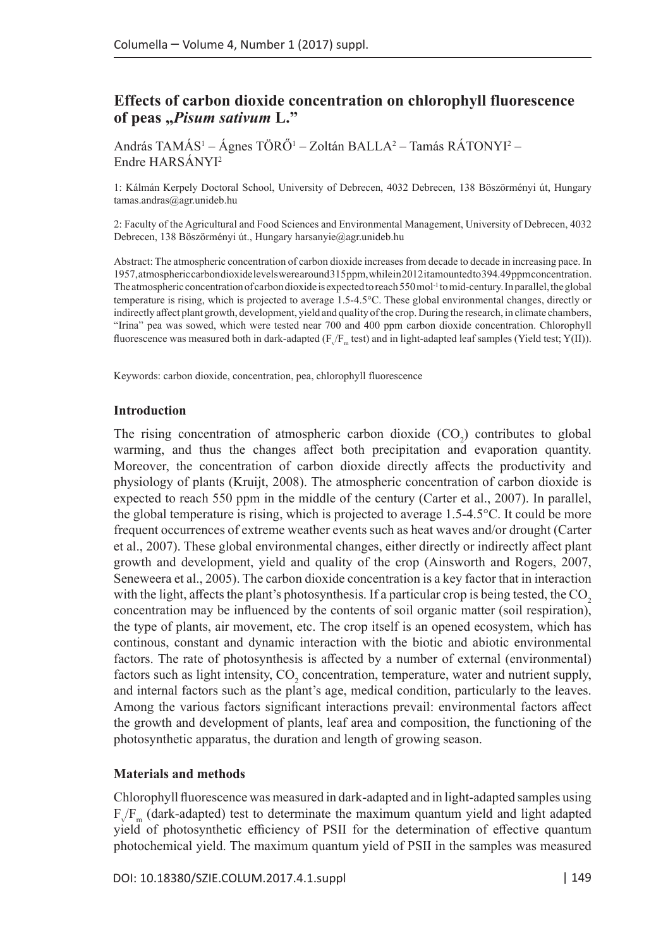# **Effects of carbon dioxide concentration on chlorophyll fluorescence of peas "***Pisum sativum* **L."**

András TAMÁS<sup>1</sup> – Ágnes TÖRÖ<sup>1</sup> – Zoltán BALLA<sup>2</sup> – Tamás RÁTONYI<sup>2</sup> – Endre HARSÁNYI2

1: Kálmán Kerpely Doctoral School, University of Debrecen, 4032 Debrecen, 138 Böszörményi út, Hungary [tamas.andras@agr.unideb.hu](mailto:nagyorsolya@agr.unideb.hu)

2: Faculty of the Agricultural and Food Sciences and Environmental Management, University of Debrecen, 4032 Debrecen, 138 Böszörményi út., Hungary [harsanyie@agr.unideb.hu](mailto:harsanyie@agr.unideb.hu)

Abstract: The atmospheric concentration of carbon dioxide increases from decade to decade in increasing pace. In 1957, atmospheric carbon dioxide levels were around 315 ppm, while in 2012 it amounted to 394.49 ppm concentration. The atmospheric concentration of carbon dioxide is expected to reach 550 mol<sup>-1</sup> to mid-century. In parallel, the global temperature is rising, which is projected to average 1.5-4.5°C. These global environmental changes, directly or indirectly affect plant growth, development, yield and quality of the crop. During the research, in climate chambers, "Irina" pea was sowed, which were tested near 700 and 400 ppm carbon dioxide concentration. Chlorophyll fluorescence was measured both in dark-adapted (F $\sqrt{F_m}$  test) and in light-adapted leaf samples (Yield test; Y(II)).

Keywords: carbon dioxide, concentration, pea, chlorophyll fluorescence

#### **Introduction**

The rising concentration of atmospheric carbon dioxide  $(CO_2)$  contributes to global warming, and thus the changes affect both precipitation and evaporation quantity. Moreover, the concentration of carbon dioxide directly affects the productivity and physiology of plants (Kruijt, 2008). The atmospheric concentration of carbon dioxide is expected to reach 550 ppm in the middle of the century (Carter et al., 2007). In parallel, the global temperature is rising, which is projected to average 1.5-4.5°C. It could be more frequent occurrences of extreme weather events such as heat waves and/or drought (Carter et al., 2007). These global environmental changes, either directly or indirectly affect plant growth and development, yield and quality of the crop (Ainsworth and Rogers, 2007, Seneweera et al., 2005). The carbon dioxide concentration is a key factor that in interaction with the light, affects the plant's photosynthesis. If a particular crop is being tested, the  $CO<sub>2</sub>$ concentration may be influenced by the contents of soil organic matter (soil respiration), the type of plants, air movement, etc. The crop itself is an opened ecosystem, which has continous, constant and dynamic interaction with the biotic and abiotic environmental factors. The rate of photosynthesis is affected by a number of external (environmental) factors such as light intensity,  $CO_2$  concentration, temperature, water and nutrient supply, and internal factors such as the plant's age, medical condition, particularly to the leaves. Among the various factors significant interactions prevail: environmental factors affect the growth and development of plants, leaf area and composition, the functioning of the photosynthetic apparatus, the duration and length of growing season.

### **Materials and methods**

Chlorophyll fluorescence was measured in dark-adapted and in light-adapted samples using  $F_v/F_m$  (dark-adapted) test to determinate the maximum quantum yield and light adapted yield of photosynthetic efficiency of PSII for the determination of effective quantum photochemical yield. The maximum quantum yield of PSII in the samples was measured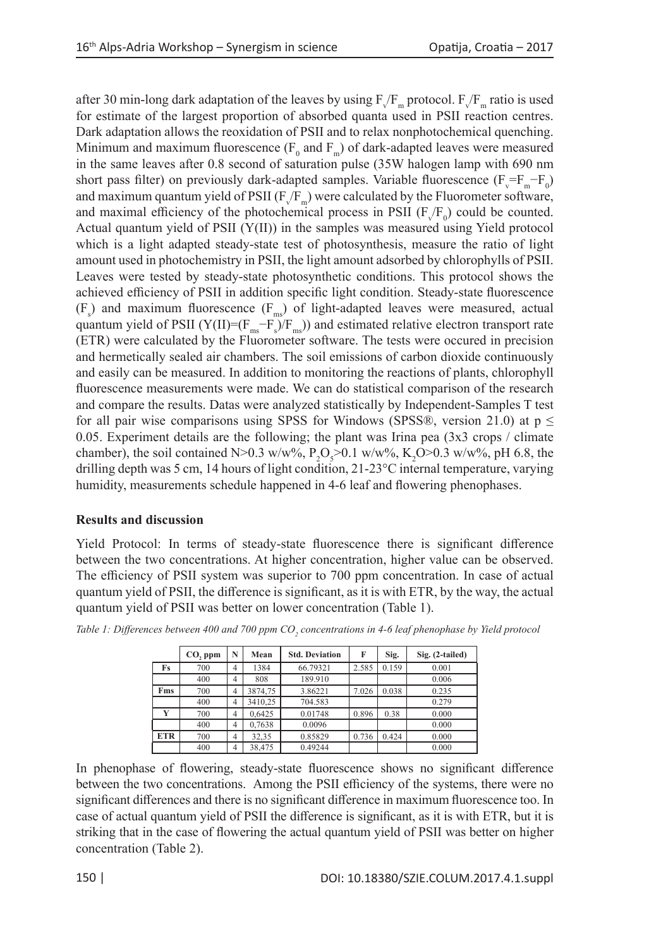after 30 min-long dark adaptation of the leaves by using  $F_v/F_m$  protocol.  $F_v/F_m$  ratio is used for estimate of the largest proportion of absorbed quanta used in PSII reaction centres. Dark adaptation allows the reoxidation of PSII and to relax nonphotochemical quenching. Minimum and maximum fluorescence  $(F_0$  and  $F_m)$  of dark-adapted leaves were measured in the same leaves after 0.8 second of saturation pulse (35W halogen lamp with 690 nm short pass filter) on previously dark-adapted samples. Variable fluorescence  $(F_v = F_m - F_0)$ and maximum quantum yield of PSII ( $F_{\nu}/F_{\rm m}$ ) were calculated by the Fluorometer software, and maximal efficiency of the photochemical process in PSII  $(F_v/F_0)$  could be counted. Actual quantum yield of PSII (Y(II)) in the samples was measured using Yield protocol which is a light adapted steady-state test of photosynthesis, measure the ratio of light amount used in photochemistry in PSII, the light amount adsorbed by chlorophylls of PSII. Leaves were tested by steady-state photosynthetic conditions. This protocol shows the achieved efficiency of PSII in addition specific light condition. Steady-state fluorescence  $(F<sub>s</sub>)$  and maximum fluorescence  $(F<sub>ms</sub>)$  of light-adapted leaves were measured, actual quantum yield of PSII (Y(II)=( $F_{ms}$ - $F_s$ )/ $F_{ms}$ )) and estimated relative electron transport rate (ETR) were calculated by the Fluorometer software. The tests were occured in precision and hermetically sealed air chambers. The soil emissions of carbon dioxide continuously and easily can be measured. In addition to monitoring the reactions of plants, chlorophyll fluorescence measurements were made. We can do statistical comparison of the research and compare the results. Datas were analyzed statistically by Independent-Samples T test for all pair wise comparisons using SPSS for Windows (SPSS®, version 21.0) at  $p \leq$ 0.05. Experiment details are the following; the plant was Irina pea (3x3 crops / climate chamber), the soil contained N>0.3 w/w%,  $P_2O_5$ >0.1 w/w%,  $K_2O$ >0.3 w/w%, pH 6.8, the drilling depth was 5 cm, 14 hours of light condition, 21-23°C internal temperature, varying humidity, measurements schedule happened in 4-6 leaf and flowering phenophases.

## **Results and discussion**

Yield Protocol: In terms of steady-state fluorescence there is significant difference between the two concentrations. At higher concentration, higher value can be observed. The efficiency of PSII system was superior to 700 ppm concentration. In case of actual quantum yield of PSII, the difference is significant, as it is with ETR, by the way, the actual quantum yield of PSII was better on lower concentration (Table 1).

|            | $CO$ , ppm | N              | Mean    | <b>Std. Deviation</b> | F     | Sig.  | Sig. (2-tailed) |
|------------|------------|----------------|---------|-----------------------|-------|-------|-----------------|
| Fs         | 700        | $\overline{4}$ | 1384    | 66.79321              | 2.585 | 0.159 | 0.001           |
|            | 400        | $\overline{4}$ | 808     | 189.910               |       |       | 0.006           |
| Fms        | 700        | 4              | 3874.75 | 3.86221               | 7.026 | 0.038 | 0.235           |
|            | 400        | 4              | 3410.25 | 704.583               |       |       | 0.279           |
| Y          | 700        | 4              | 0.6425  | 0.01748               | 0.896 | 0.38  | 0.000           |
|            | 400        | 4              | 0,7638  | 0.0096                |       |       | 0.000           |
| <b>ETR</b> | 700        | $\overline{4}$ | 32.35   | 0.85829               | 0.736 | 0.424 | 0.000           |
|            | 400        | 4              | 38,475  | 0.49244               |       |       | 0.000           |

Table 1: Differences between 400 and 700 ppm CO<sub>2</sub> concentrations in 4-6 leaf phenophase by Yield protocol

In phenophase of flowering, steady-state fluorescence shows no significant difference between the two concentrations. Among the PSII efficiency of the systems, there were no significant differences and there is no significant difference in maximum fluorescence too. In case of actual quantum yield of PSII the difference is significant, as it is with ETR, but it is striking that in the case of flowering the actual quantum yield of PSII was better on higher concentration (Table 2).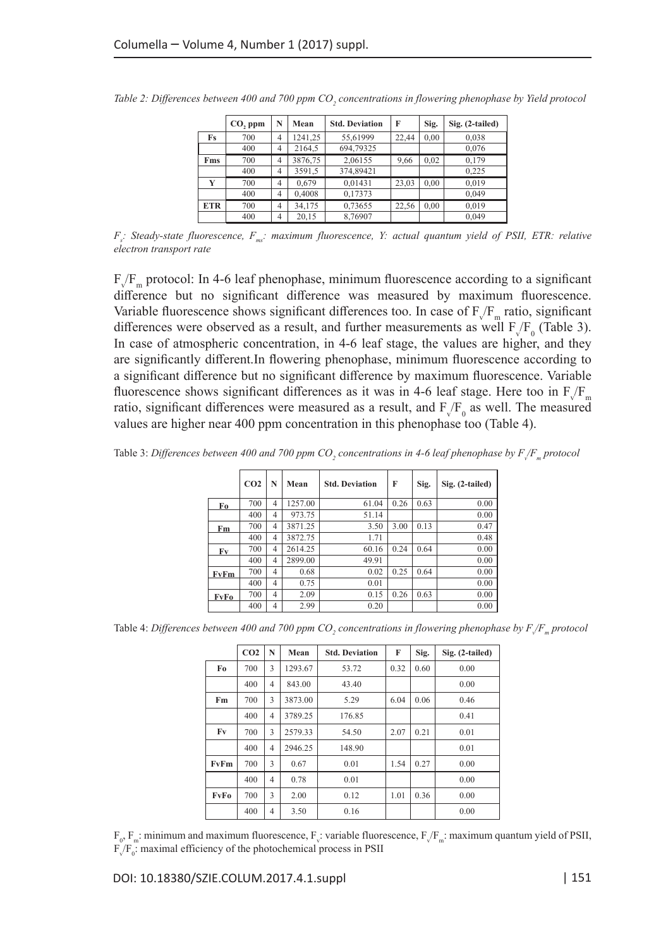|            | CO, ppm | N              | Mean    | <b>Std. Deviation</b> | F     | Sig. | Sig. (2-tailed) |
|------------|---------|----------------|---------|-----------------------|-------|------|-----------------|
| Fs         | 700     | 4              | 1241.25 | 55,61999              | 22.44 | 0,00 | 0,038           |
|            | 400     | 4              | 2164,5  | 694,79325             |       |      | 0,076           |
| Fms        | 700     | 4              | 3876,75 | 2.06155               | 9,66  | 0,02 | 0.179           |
|            | 400     | 4              | 3591,5  | 374,89421             |       |      | 0.225           |
| Y          | 700     | 4              | 0.679   | 0.01431               | 23,03 | 0,00 | 0.019           |
|            | 400     | $\overline{4}$ | 0,4008  | 0,17373               |       |      | 0,049           |
| <b>ETR</b> | 700     | 4              | 34.175  | 0,73655               | 22.56 | 0.00 | 0.019           |
|            | 400     | $\overline{4}$ | 20.15   | 8,76907               |       |      | 0.049           |

Table 2: Differences between 400 and 700 ppm CO<sub>2</sub> concentrations in flowering phenophase by Yield protocol

*F<sub>s</sub>*: Steady-state fluorescence, *F<sub>ms</sub>*: maximum fluorescence, Y: actual quantum yield of PSII, ETR: relative *electron transport rate*

 $F_v/F_m$  protocol: In 4-6 leaf phenophase, minimum fluorescence according to a significant difference but no significant difference was measured by maximum fluorescence. Variable fluorescence shows significant differences too. In case of  $F_V/F_m$  ratio, significant differences were observed as a result, and further measurements as well  $F_v/F_0$  (Table 3). In case of atmospheric concentration, in 4-6 leaf stage, the values are higher, and they are significantly different.In flowering phenophase, minimum fluorescence according to a significant difference but no significant difference by maximum fluorescence. Variable fluorescence shows significant differences as it was in 4-6 leaf stage. Here too in  $F_v/F_m$ ratio, significant differences were measured as a result, and  $F_v/F_0$  as well. The measured values are higher near 400 ppm concentration in this phenophase too (Table 4).

Table 3: *Differences between 400 and 700 ppm CO*<sub>2</sub> concentrations in 4-6 leaf phenophase by F<sub>V</sub>F<sub>m</sub> protocol

|      | CO <sub>2</sub> | N              | Mean    | <b>Std. Deviation</b> | F    | Sig. | Sig. (2-tailed) |
|------|-----------------|----------------|---------|-----------------------|------|------|-----------------|
| Fo   | 700             | 4              | 1257.00 | 61.04                 | 0.26 | 0.63 | 0.00            |
|      | 400             | $\overline{4}$ | 973.75  | 51.14                 |      |      | 0.00            |
| Fm   | 700             | $\overline{4}$ | 3871.25 | 3.50                  | 3.00 | 0.13 | 0.47            |
|      | 400             | $\overline{4}$ | 3872.75 | 1.71                  |      |      | 0.48            |
| Fv   | 700             | $\overline{4}$ | 2614.25 | 60.16                 | 0.24 | 0.64 | 0.00            |
|      | 400             | $\overline{4}$ | 2899.00 | 49.91                 |      |      | 0.00            |
| FvFm | 700             | $\overline{4}$ | 0.68    | 0.02                  | 0.25 | 0.64 | 0.00            |
|      | 400             | $\overline{4}$ | 0.75    | 0.01                  |      |      | 0.00            |
| FvFo | 700             | $\overline{4}$ | 2.09    | 0.15                  | 0.26 | 0.63 | 0.00            |
|      | 400             | $\overline{4}$ | 2.99    | 0.20                  |      |      | 0.00            |

Table 4: *Differences between 400 and 700 ppm CO<sub>2</sub> concentrations in flowering phenophase by F<sub>V</sub>F<sub>m</sub> protocol* 

|      | CO <sub>2</sub> | N | Mean    | <b>Std. Deviation</b> | F    | Sig. | Sig. (2-tailed) |
|------|-----------------|---|---------|-----------------------|------|------|-----------------|
| Fo   | 700             | 3 | 1293.67 | 53.72                 | 0.32 | 0.60 | 0.00            |
|      | 400             | 4 | 843.00  | 43.40                 |      |      | 0.00            |
| Fm   | 700             | 3 | 3873.00 | 5.29                  | 6.04 | 0.06 | 0.46            |
|      | 400             | 4 | 3789.25 | 176.85                |      |      | 0.41            |
| Fv   | 700             | 3 | 2579.33 | 54.50                 | 2.07 | 0.21 | 0.01            |
|      | 400             | 4 | 2946.25 | 148.90                |      |      | 0.01            |
| FvFm | 700             | 3 | 0.67    | 0.01                  | 1.54 | 0.27 | 0.00            |
|      | 400             | 4 | 0.78    | 0.01                  |      |      | 0.00            |
| FvFo | 700             | 3 | 2.00    | 0.12                  | 1.01 | 0.36 | 0.00            |
|      | 400             | 4 | 3.50    | 0.16                  |      |      | 0.00            |

 $F_0$ ,  $F_m$ : minimum and maximum fluorescence,  $F_v$ : variable fluorescence,  $F_v/F_m$ : maximum quantum yield of PSII,  $F_v/F_0$ : maximal efficiency of the photochemical process in PSII